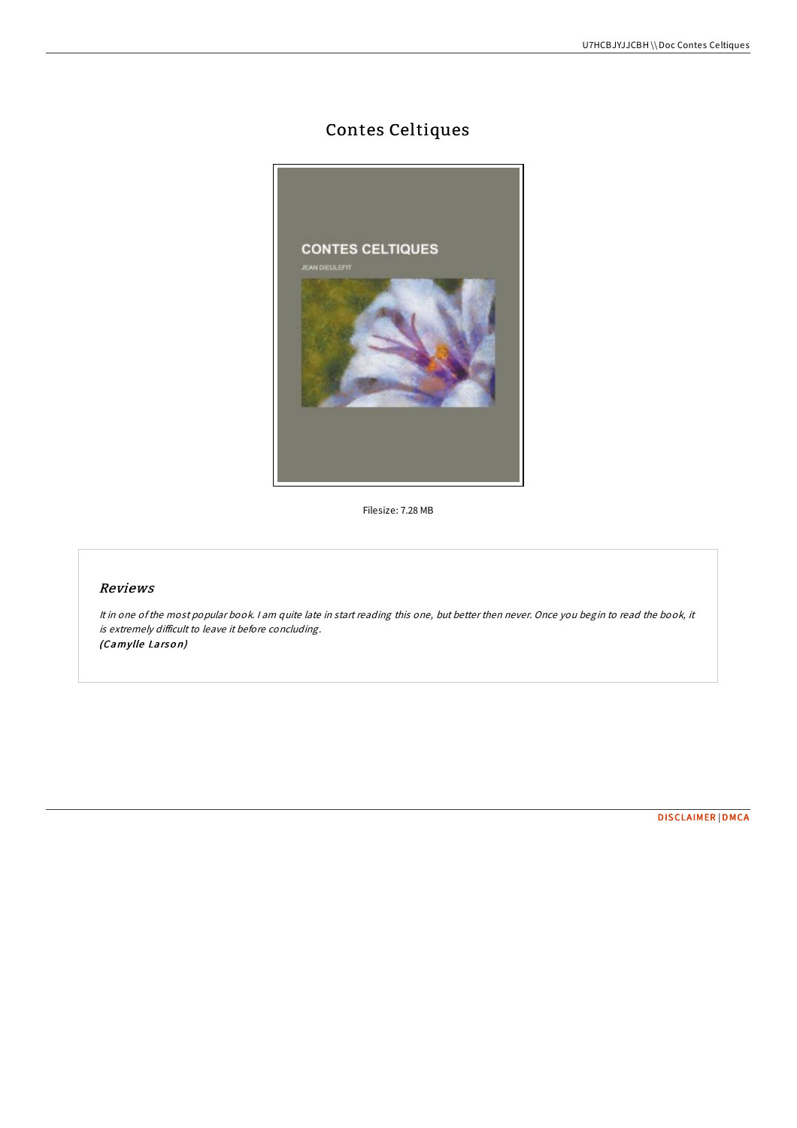## Contes Celtiques



Filesize: 7.28 MB

## Reviews

It in one ofthe most popular book. <sup>I</sup> am quite late in start reading this one, but better then never. Once you begin to read the book, it is extremely difficult to leave it before concluding. (Camylle Larson)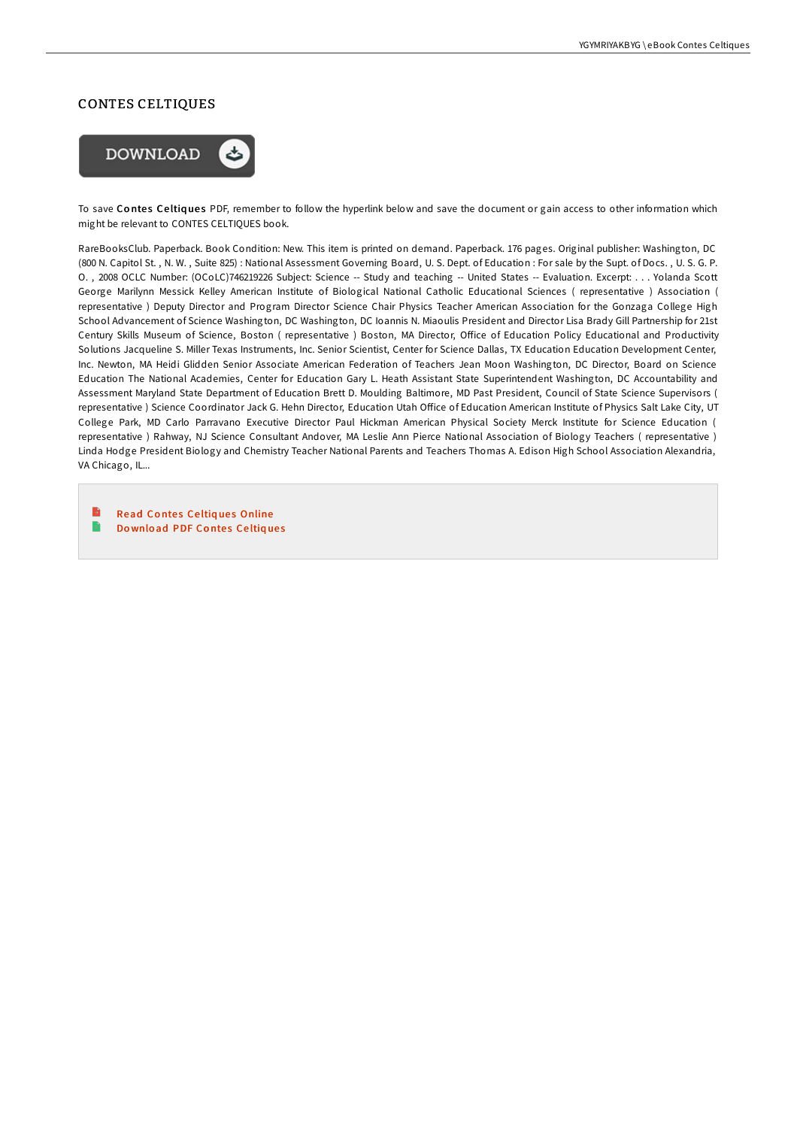## CONTES CELTIQUES



To save Contes Celtiques PDF, remember to follow the hyperlink below and save the document or gain access to other information which might be relevant to CONTES CELTIQUES book.

RareBooksClub. Paperback. Book Condition: New. This item is printed on demand. Paperback. 176 pages. Original publisher: Washington, DC (800 N. Capitol St. , N. W. , Suite 825) : National Assessment Governing Board, U. S. Dept. of Education : For sale by the Supt. of Docs. , U. S. G. P. O. , 2008 OCLC Number: (OCoLC)746219226 Subject: Science -- Study and teaching -- United States -- Evaluation. Excerpt: . . . Yolanda Scott George Marilynn Messick Kelley American Institute of Biological National Catholic Educational Sciences ( representative ) Association ( representative ) Deputy Director and Program Director Science Chair Physics Teacher American Association for the Gonzaga College High School Advancement of Science Washington, DC Washington, DC Ioannis N. Miaoulis President and Director Lisa Brady Gill Partnership for 21st Century Skills Museum of Science, Boston (representative) Boston, MA Director, Office of Education Policy Educational and Productivity Solutions Jacqueline S. Miller Texas Instruments, Inc. Senior Scientist, Center for Science Dallas, TX Education Education Development Center, Inc. Newton, MA Heidi Glidden Senior Associate American Federation of Teachers Jean Moon Washington, DC Director, Board on Science Education The National Academies, Center for Education Gary L. Heath Assistant State Superintendent Washington, DC Accountability and Assessment Maryland State Department of Education Brett D. Moulding Baltimore, MD Past President, Council of State Science Supervisors ( representative ) Science Coordinator Jack G. Hehn Director, Education Utah Office of Education American Institute of Physics Salt Lake City, UT College Park, MD Carlo Parravano Executive Director Paul Hickman American Physical Society Merck Institute for Science Education ( representative ) Rahway, NJ Science Consultant Andover, MA Leslie Ann Pierce National Association of Biology Teachers ( representative ) Linda Hodge President Biology and Chemistry Teacher National Parents and Teachers Thomas A. Edison High School Association Alexandria, VA Chicago, IL...

B Read Contes Celtiques [Online](http://almighty24.tech/contes-celtiques.html) e Do [wnlo](http://almighty24.tech/contes-celtiques.html)ad PDF Contes Celtiques